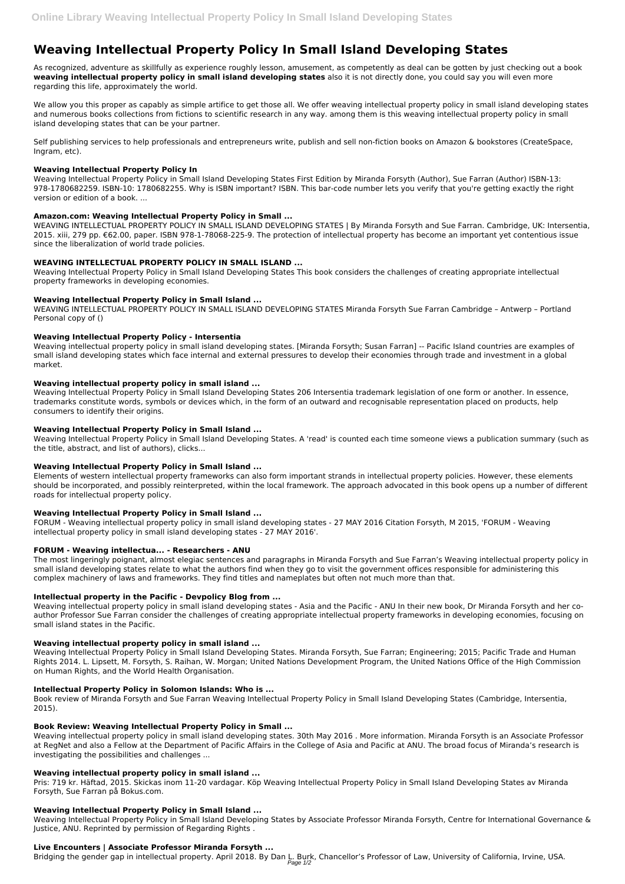# **Weaving Intellectual Property Policy In Small Island Developing States**

As recognized, adventure as skillfully as experience roughly lesson, amusement, as competently as deal can be gotten by just checking out a book **weaving intellectual property policy in small island developing states** also it is not directly done, you could say you will even more regarding this life, approximately the world.

We allow you this proper as capably as simple artifice to get those all. We offer weaving intellectual property policy in small island developing states and numerous books collections from fictions to scientific research in any way. among them is this weaving intellectual property policy in small island developing states that can be your partner.

Self publishing services to help professionals and entrepreneurs write, publish and sell non-fiction books on Amazon & bookstores (CreateSpace, Ingram, etc).

# **Weaving Intellectual Property Policy In**

Weaving Intellectual Property Policy in Small Island Developing States First Edition by Miranda Forsyth (Author), Sue Farran (Author) ISBN-13: 978-1780682259. ISBN-10: 1780682255. Why is ISBN important? ISBN. This bar-code number lets you verify that you're getting exactly the right version or edition of a book. ...

# **Amazon.com: Weaving Intellectual Property Policy in Small ...**

WEAVING INTELLECTUAL PROPERTY POLICY IN SMALL ISLAND DEVELOPING STATES | By Miranda Forsyth and Sue Farran. Cambridge, UK: Intersentia, 2015. xiii, 279 pp. €62.00, paper. ISBN 978-1-78068-225-9. The protection of intellectual property has become an important yet contentious issue since the liberalization of world trade policies.

# **WEAVING INTELLECTUAL PROPERTY POLICY IN SMALL ISLAND ...**

Weaving Intellectual Property Policy in Small Island Developing States This book considers the challenges of creating appropriate intellectual property frameworks in developing economies.

# **Weaving Intellectual Property Policy in Small Island ...**

WEAVING INTELLECTUAL PROPERTY POLICY IN SMALL ISLAND DEVELOPING STATES Miranda Forsyth Sue Farran Cambridge – Antwerp – Portland Personal copy of ()

# **Weaving Intellectual Property Policy - Intersentia**

Weaving intellectual property policy in small island developing states. [Miranda Forsyth; Susan Farran] -- Pacific Island countries are examples of small island developing states which face internal and external pressures to develop their economies through trade and investment in a global market.

## **Weaving intellectual property policy in small island ...**

Weaving Intellectual Property Policy in Small Island Developing States 206 Intersentia trademark legislation of one form or another. In essence, trademarks constitute words, symbols or devices which, in the form of an outward and recognisable representation placed on products, help consumers to identify their origins.

## **Weaving Intellectual Property Policy in Small Island ...**

Weaving Intellectual Property Policy in Small Island Developing States. A 'read' is counted each time someone views a publication summary (such as the title, abstract, and list of authors), clicks...

## **Weaving Intellectual Property Policy in Small Island ...**

Elements of western intellectual property frameworks can also form important strands in intellectual property policies. However, these elements should be incorporated, and possibly reinterpreted, within the local framework. The approach advocated in this book opens up a number of different roads for intellectual property policy.

## **Weaving Intellectual Property Policy in Small Island ...**

FORUM - Weaving intellectual property policy in small island developing states - 27 MAY 2016 Citation Forsyth, M 2015, 'FORUM - Weaving intellectual property policy in small island developing states - 27 MAY 2016'.

# **FORUM - Weaving intellectua... - Researchers - ANU**

The most lingeringly poignant, almost elegiac sentences and paragraphs in Miranda Forsyth and Sue Farran's Weaving intellectual property policy in small island developing states relate to what the authors find when they go to visit the government offices responsible for administering this complex machinery of laws and frameworks. They find titles and nameplates but often not much more than that.

# **Intellectual property in the Pacific - Devpolicy Blog from ...**

Weaving intellectual property policy in small island developing states - Asia and the Pacific - ANU In their new book, Dr Miranda Forsyth and her coauthor Professor Sue Farran consider the challenges of creating appropriate intellectual property frameworks in developing economies, focusing on small island states in the Pacific.

# **Weaving intellectual property policy in small island ...**

Weaving Intellectual Property Policy in Small Island Developing States. Miranda Forsyth, Sue Farran; Engineering; 2015; Pacific Trade and Human Rights 2014. L. Lipsett, M. Forsyth, S. Raihan, W. Morgan; United Nations Development Program, the United Nations Office of the High Commission

on Human Rights, and the World Health Organisation.

### **Intellectual Property Policy in Solomon Islands: Who is ...**

Book review of Miranda Forsyth and Sue Farran Weaving Intellectual Property Policy in Small Island Developing States (Cambridge, Intersentia, 2015).

#### **Book Review: Weaving Intellectual Property Policy in Small ...**

Weaving intellectual property policy in small island developing states. 30th May 2016 . More information. Miranda Forsyth is an Associate Professor at RegNet and also a Fellow at the Department of Pacific Affairs in the College of Asia and Pacific at ANU. The broad focus of Miranda's research is investigating the possibilities and challenges ...

#### **Weaving intellectual property policy in small island ...**

Pris: 719 kr. Häftad, 2015. Skickas inom 11-20 vardagar. Köp Weaving Intellectual Property Policy in Small Island Developing States av Miranda Forsyth, Sue Farran på Bokus.com.

### **Weaving Intellectual Property Policy in Small Island ...**

Weaving Intellectual Property Policy in Small Island Developing States by Associate Professor Miranda Forsyth, Centre for International Governance & Justice, ANU. Reprinted by permission of Regarding Rights .

### **Live Encounters | Associate Professor Miranda Forsyth ...**

Bridging the gender gap in intellectual property. April 2018. By Dan L. Burk, Chancellor's Professor of Law, University of California, Irvine, USA. Page 1/2